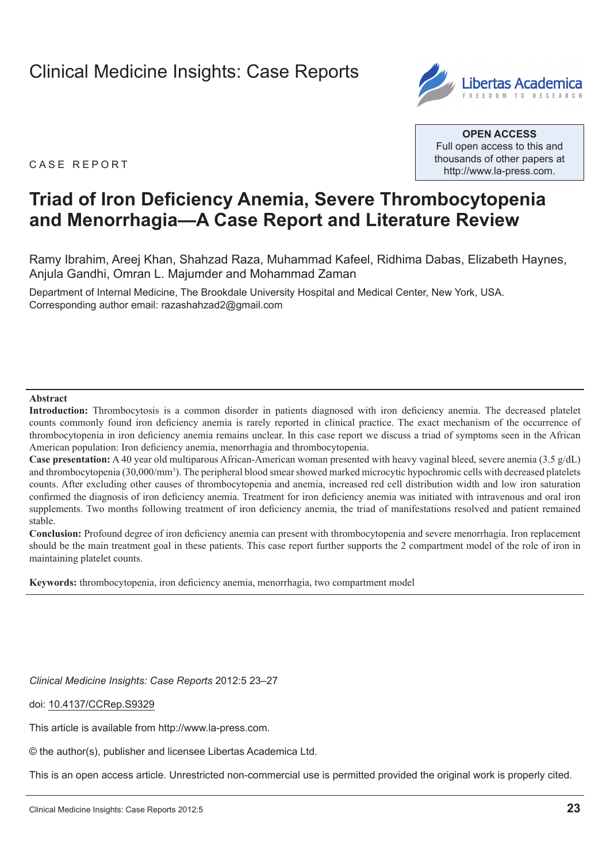# [Clinical Medicine Insights: Case Reports](http://www.la-press.com/clinical-medicine-insights-case-reports-journal-j91)



**Open Access** Full open access to this and thousands of other papers at <http://www.la-press.com>.

CASE REPORT

# **Triad of Iron Deficiency Anemia, Severe Thrombocytopenia and Menorrhagia—A Case Report and Literature Review**

Ramy Ibrahim, Areej Khan, Shahzad Raza, Muhammad Kafeel, Ridhima Dabas, Elizabeth Haynes, Anjula Gandhi, Omran L. Majumder and Mohammad Zaman

Department of Internal Medicine, The Brookdale University Hospital and Medical Center, New York, USA. Corresponding author email: [razashahzad2@gmail.com](mailto:razashahzad2@gmail.com)

#### **Abstract**

**Introduction:** Thrombocytosis is a common disorder in patients diagnosed with iron deficiency anemia. The decreased platelet counts commonly found iron deficiency anemia is rarely reported in clinical practice. The exact mechanism of the occurrence of thrombocytopenia in iron deficiency anemia remains unclear. In this case report we discuss a triad of symptoms seen in the African American population: Iron deficiency anemia, menorrhagia and thrombocytopenia.

**Case presentation:** A 40 year old multiparous African-American woman presented with heavy vaginal bleed, severe anemia (3.5 g/dL) and thrombocytopenia (30,000/mm<sup>3</sup>). The peripheral blood smear showed marked microcytic hypochromic cells with decreased platelets counts. After excluding other causes of thrombocytopenia and anemia, increased red cell distribution width and low iron saturation confirmed the diagnosis of iron deficiency anemia. Treatment for iron deficiency anemia was initiated with intravenous and oral iron supplements. Two months following treatment of iron deficiency anemia, the triad of manifestations resolved and patient remained stable.

**Conclusion:** Profound degree of iron deficiency anemia can present with thrombocytopenia and severe menorrhagia. Iron replacement should be the main treatment goal in these patients. This case report further supports the 2 compartment model of the role of iron in maintaining platelet counts.

**Keywords:** thrombocytopenia, iron deficiency anemia, menorrhagia, two compartment model

*Clinical Medicine Insights: Case Reports* 2012:5 23–27

doi: [10.4137/CCRep.S9329](http://dx.doi.org/10.4137/CCRep.S9329)

This article is available from [http://www.la-press.com.](http://www.la-press.com)

© the author(s), publisher and licensee Libertas Academica Ltd.

This is an open access article. Unrestricted non-commercial use is permitted provided the original work is properly cited.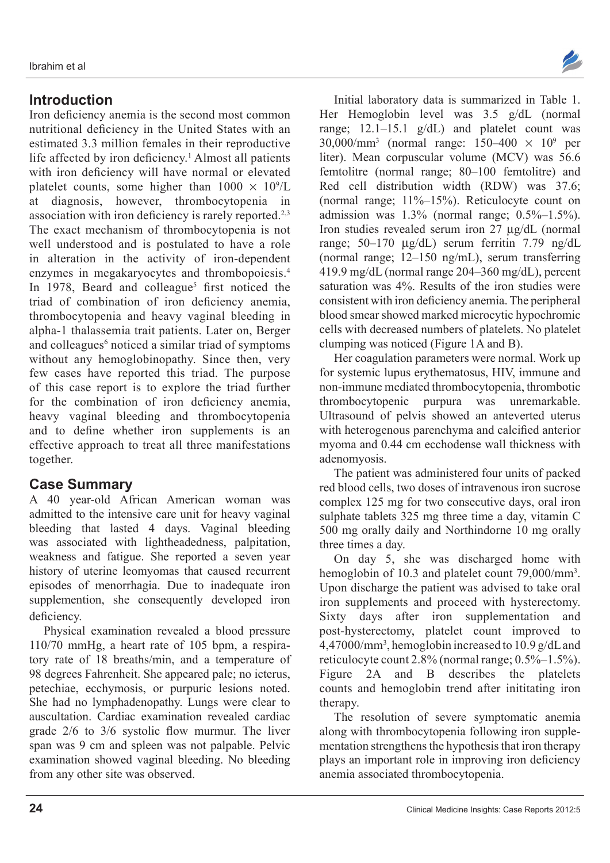# **Introduction**

Iron deficiency anemia is the second most common nutritional deficiency in the United States with an estimated 3.3 million females in their reproductive life affected by iron deficiency.<sup>1</sup> Almost all patients with iron deficiency will have normal or elevated platelet counts, some higher than  $1000 \times 10^9$ /L at diagnosis, however, thrombocytopenia in association with iron deficiency is rarely reported.<sup>2,3</sup> The exact mechanism of thrombocytopenia is not well understood and is postulated to have a role in alteration in the activity of iron-dependent enzymes in megakaryocytes and thrombopoiesis.4 In 1978, Beard and colleague<sup>5</sup> first noticed the triad of combination of iron deficiency anemia, thrombocytopenia and heavy vaginal bleeding in alpha-1 thalassemia trait patients. Later on, Berger and colleagues<sup>6</sup> noticed a similar triad of symptoms without any hemoglobinopathy. Since then, very few cases have reported this triad. The purpose of this case report is to explore the triad further for the combination of iron deficiency anemia, heavy vaginal bleeding and thrombocytopenia and to define whether iron supplements is an effective approach to treat all three manifestations together.

# **Case Summary**

A 40 year-old African American woman was admitted to the intensive care unit for heavy vaginal bleeding that lasted 4 days. Vaginal bleeding was associated with lightheadedness, palpitation, weakness and fatigue. She reported a seven year history of uterine leomyomas that caused recurrent episodes of menorrhagia. Due to inadequate iron supplemention, she consequently developed iron deficiency.

Physical examination revealed a blood pressure 110/70 mmHg, a heart rate of 105 bpm, a respiratory rate of 18 breaths/min, and a temperature of 98 degrees Fahrenheit. She appeared pale; no icterus, petechiae, ecchymosis, or purpuric lesions noted. She had no lymphadenopathy. Lungs were clear to auscultation. Cardiac examination revealed cardiac grade 2/6 to 3/6 systolic flow murmur. The liver span was 9 cm and spleen was not palpable. Pelvic examination showed vaginal bleeding. No bleeding from any other site was observed.



Initial laboratory data is summarized in Table 1. Her Hemoglobin level was 3.5 g/dL (normal range; 12.1–15.1 g/dL) and platelet count was  $30,000/\text{mm}^3$  (normal range:  $150-400 \times 10^9$  per liter). Mean corpuscular volume (MCV) was 56.6 femtolitre (normal range; 80–100 femtolitre) and Red cell distribution width (RDW) was 37.6; (normal range; 11%–15%). Reticulocyte count on admission was 1.3% (normal range; 0.5%–1.5%). Iron studies revealed serum iron 27 µg/dL (normal range; 50–170 µg/dL) serum ferritin 7.79 ng/dL (normal range; 12–150 ng/mL), serum transferring 419.9 mg/dL (normal range 204–360 mg/dL), percent saturation was 4%. Results of the iron studies were consistent with iron deficiency anemia. The peripheral blood smear showed marked microcytic hypochromic cells with decreased numbers of platelets. No platelet clumping was noticed (Figure 1A and B).

Her coagulation parameters were normal. Work up for systemic lupus erythematosus, HIV, immune and non-immune mediated thrombocytopenia, thrombotic thrombocytopenic purpura was unremarkable. Ultrasound of pelvis showed an anteverted uterus with heterogenous parenchyma and calcified anterior myoma and 0.44 cm ecchodense wall thickness with adenomyosis.

The patient was administered four units of packed red blood cells, two doses of intravenous iron sucrose complex 125 mg for two consecutive days, oral iron sulphate tablets 325 mg three time a day, vitamin C 500 mg orally daily and Northindorne 10 mg orally three times a day.

On day 5, she was discharged home with hemoglobin of 10.3 and platelet count 79,000/mm<sup>3</sup>. Upon discharge the patient was advised to take oral iron supplements and proceed with hysterectomy. Sixty days after iron supplementation and post-hysterectomy, platelet count improved to 4,47000/mm3 , hemoglobin increased to 10.9 g/dL and reticulocyte count 2.8% (normal range; 0.5%–1.5%). Figure 2A and B describes the platelets counts and hemoglobin trend after inititating iron therapy

The resolution of severe symptomatic anemia along with thrombocytopenia following iron supplementation strengthens the hypothesis that iron therapy plays an important role in improving iron deficiency anemia associated thrombocytopenia.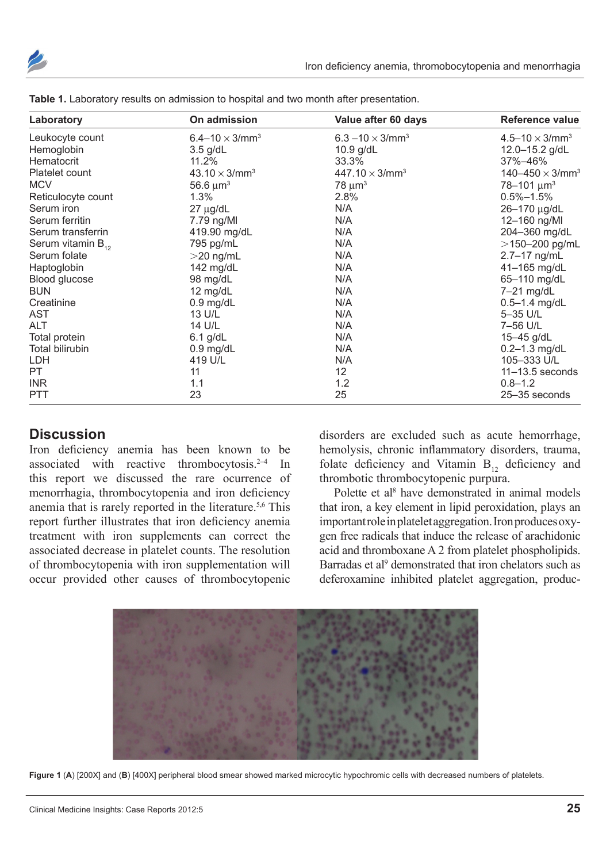

| Laboratory             | On admission                      | Value after 60 days                 | Reference value<br>$4.5 - 10 \times 3$ /mm <sup>3</sup> |  |
|------------------------|-----------------------------------|-------------------------------------|---------------------------------------------------------|--|
| Leukocyte count        | 6.4–10 $\times$ 3/mm <sup>3</sup> | 6.3 $-10 \times 3$ /mm <sup>3</sup> |                                                         |  |
| Hemoglobin             | $3.5$ g/dL                        | 10.9 g/dL                           | 12.0-15.2 g/dL                                          |  |
| Hematocrit             | 11.2%                             | 33.3%                               | 37%–46%                                                 |  |
| Platelet count         | $43.10 \times 3/\text{mm}^3$      | $447.10 \times 3$ /mm <sup>3</sup>  | 140-450 $\times$ 3/mm <sup>3</sup>                      |  |
| <b>MCV</b>             | 56.6 $\mu$ m <sup>3</sup>         | $78 \mu m^3$                        | 78-101 $\mu$ m <sup>3</sup>                             |  |
| Reticulocyte count     | 1.3%                              | 2.8%                                | $0.5\% - 1.5\%$                                         |  |
| Serum iron             | $27 \mu g/dL$                     | N/A                                 | 26-170 µg/dL                                            |  |
| Serum ferritin         | 7.79 ng/Ml                        | N/A                                 | 12-160 ng/Ml                                            |  |
| Serum transferrin      | 419.90 mg/dL                      | N/A                                 | 204-360 mg/dL                                           |  |
| Serum vitamin $B_{12}$ | 795 pg/mL                         | N/A                                 | $>$ 150-200 pg/mL                                       |  |
| Serum folate           | $>$ 20 ng/mL                      | N/A                                 | 2.7-17 ng/mL                                            |  |
| Haptoglobin            | 142 mg/dL                         | N/A                                 | 41-165 mg/dL                                            |  |
| Blood glucose          | 98 mg/dL                          | N/A                                 | 65-110 mg/dL                                            |  |
| <b>BUN</b>             | 12 $mg/dL$                        | N/A                                 | 7-21 mg/dL                                              |  |
| Creatinine             | $0.9$ mg/dL                       | N/A                                 | $0.5 - 1.4$ mg/dL                                       |  |
| AST                    | 13 U/L                            | N/A                                 | 5-35 U/L                                                |  |
| ALT                    | 14 U/L                            | N/A                                 | 7-56 U/L                                                |  |
| Total protein          | $6.1$ g/dL                        | N/A                                 | 15-45 g/dL                                              |  |
| <b>Total bilirubin</b> | $0.9$ mg/dL                       | N/A                                 | $0.2 - 1.3$ mg/dL                                       |  |
| LDH                    | 419 U/L                           | N/A                                 | 105-333 U/L                                             |  |
| PT.                    | 11                                | 12                                  | $11 - 13.5$ seconds                                     |  |
| <b>INR</b>             | 1.1                               | 1.2                                 | $0.8 - 1.2$                                             |  |
| <b>PTT</b>             | 23                                | 25                                  | 25-35 seconds                                           |  |

|  |  |  |  |  |  |  |  | Table 1. Laboratory results on admission to hospital and two month after presentation. |
|--|--|--|--|--|--|--|--|----------------------------------------------------------------------------------------|
|--|--|--|--|--|--|--|--|----------------------------------------------------------------------------------------|

#### **Discussion**

Iron deficiency anemia has been known to be associated with reactive thrombocytosis.2–4 In this report we discussed the rare ocurrence of menorrhagia, thrombocytopenia and iron deficiency anemia that is rarely reported in the literature.<sup>5,6</sup> This report further illustrates that iron deficiency anemia treatment with iron supplements can correct the associated decrease in platelet counts. The resolution of thrombocytopenia with iron supplementation will occur provided other causes of thrombocytopenic

disorders are excluded such as acute hemorrhage, hemolysis, chronic inflammatory disorders, trauma, folate deficiency and Vitamin  $B_{12}$  deficiency and thrombotic thrombocytopenic purpura.

Polette et al<sup>8</sup> have demonstrated in animal models that iron, a key element in lipid peroxidation, plays an important role in platelet aggregation. Iron produces oxygen free radicals that induce the release of arachidonic acid and thromboxane A 2 from platelet phospholipids. Barradas et al<sup>9</sup> demonstrated that iron chelators such as deferoxamine inhibited platelet aggregation, produc-



**Figure 1** (**A**) [200X] and (**B**) [400X] peripheral blood smear showed marked microcytic hypochromic cells with decreased numbers of platelets.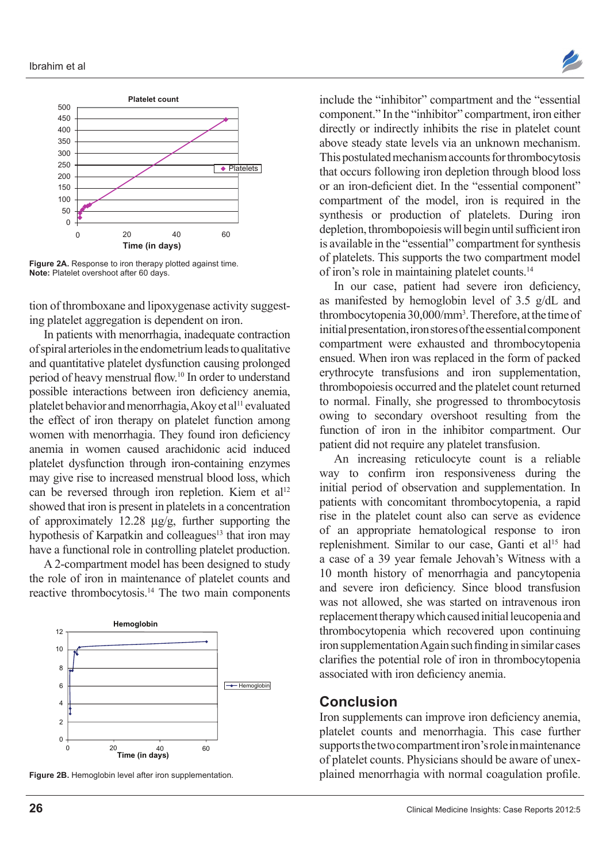

Figure 2A. Response to iron therapy plotted against time. **Note:** Platelet overshoot after 60 days.

tion of thromboxane and lipoxygenase activity suggesting platelet aggregation is dependent on iron.

In patients with menorrhagia, inadequate contraction of spiral arterioles in the endometrium leads to qualitative and quantitative platelet dysfunction causing prolonged period of heavy menstrual flow.10 In order to understand possible interactions between iron deficiency anemia, platelet behavior and menorrhagia, Akoy et al<sup>11</sup> evaluated the effect of iron therapy on platelet function among women with menorrhagia. They found iron deficiency anemia in women caused arachidonic acid induced platelet dysfunction through iron-containing enzymes may give rise to increased menstrual blood loss, which can be reversed through iron repletion. Kiem et al<sup>12</sup> showed that iron is present in platelets in a concentration of approximately 12.28 µg/g, further supporting the hypothesis of Karpatkin and colleagues<sup>13</sup> that iron may have a functional role in controlling platelet production.

A 2-compartment model has been designed to study the role of iron in maintenance of platelet counts and reactive thrombocytosis.14 The two main components



**Figure 2B.** Hemoglobin level after iron supplementation.

include the "inhibitor" compartment and the "essential component." In the "inhibitor" compartment, iron either directly or indirectly inhibits the rise in platelet count above steady state levels via an unknown mechanism. This postulated mechanism accounts for thrombocytosis that occurs following iron depletion through blood loss or an iron-deficient diet. In the "essential component" compartment of the model, iron is required in the synthesis or production of platelets. During iron depletion, thrombopoiesis will begin until sufficient iron is available in the "essential" compartment for synthesis of platelets. This supports the two compartment model of iron's role in maintaining platelet counts.14

In our case, patient had severe iron deficiency, as manifested by hemoglobin level of 3.5 g/dL and thrombocytopenia 30,000/mm3 . Therefore, at the time of initial presentation, iron stores of the essential component compartment were exhausted and thrombocytopenia ensued. When iron was replaced in the form of packed erythrocyte transfusions and iron supplementation, thrombopoiesis occurred and the platelet count returned to normal. Finally, she progressed to thrombocytosis owing to secondary overshoot resulting from the function of iron in the inhibitor compartment. Our patient did not require any platelet transfusion.

An increasing reticulocyte count is a reliable way to confirm iron responsiveness during the initial period of observation and supplementation. In patients with concomitant thrombocytopenia, a rapid rise in the platelet count also can serve as evidence of an appropriate hematological response to iron replenishment. Similar to our case, Ganti et al<sup>15</sup> had a case of a 39 year female Jehovah's Witness with a 10 month history of menorrhagia and pancytopenia and severe iron deficiency. Since blood transfusion was not allowed, she was started on intravenous iron replacement therapy which caused initial leucopenia and thrombocytopenia which recovered upon continuing iron supplementation Again such finding in similar cases clarifies the potential role of iron in thrombocytopenia associated with iron deficiency anemia.

#### **Conclusion**

Iron supplements can improve iron deficiency anemia, platelet counts and menorrhagia. This case further supports the two compartment iron's role in maintenance of platelet counts. Physicians should be aware of unexplained menorrhagia with normal coagulation profile.